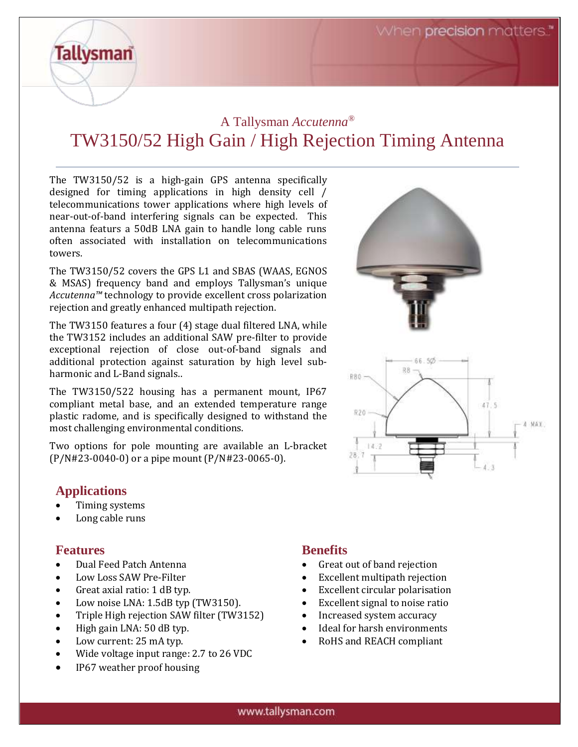# A Tallysman *Accutenna®* TW3150/52 High Gain / High Rejection Timing Antenna

The TW3150/52 is a high-gain GPS antenna specifically designed for timing applications in high density cell / telecommunications tower applications where high levels of near-out-of-band interfering signals can be expected. This antenna featurs a 50dB LNA gain to handle long cable runs often associated with installation on telecommunications towers.

The TW3150/52 covers the GPS L1 and SBAS (WAAS, EGNOS & MSAS) frequency band and employs Tallysman's unique *Accutenna™* technology to provide excellent cross polarization rejection and greatly enhanced multipath rejection.

The TW3150 features a four (4) stage dual filtered LNA, while the TW3152 includes an additional SAW pre-filter to provide exceptional rejection of close out-of-band signals and additional protection against saturation by high level subharmonic and L-Band signals..

The TW3150/522 housing has a permanent mount, IP67 compliant metal base, and an extended temperature range plastic radome, and is specifically designed to withstand the most challenging environmental conditions.

Two options for pole mounting are available an L-bracket (P/N#23-0040-0) or a pipe mount (P/N#23-0065-0).

# **Applications**

**Tallysman** 

- Timing systems
- Long cable runs

### **Features**

- Dual Feed Patch Antenna
- Low Loss SAW Pre-Filter
- Great axial ratio: 1 dB typ.
- Low noise LNA: 1.5dB typ (TW3150).
- Triple High rejection SAW filter (TW3152)
- High gain LNA: 50 dB typ.
- Low current: 25 mA typ.
- Wide voltage input range: 2.7 to 26 VDC
- IP67 weather proof housing



- Great out of band rejection
- Excellent multipath rejection
- Excellent circular polarisation

66.50

 $47.5$ 

 $4$  MAY

RB.

R80 -

R20

28.

14.2

- Excellent signal to noise ratio
- Increased system accuracy
- Ideal for harsh environments
- RoHS and REACH compliant